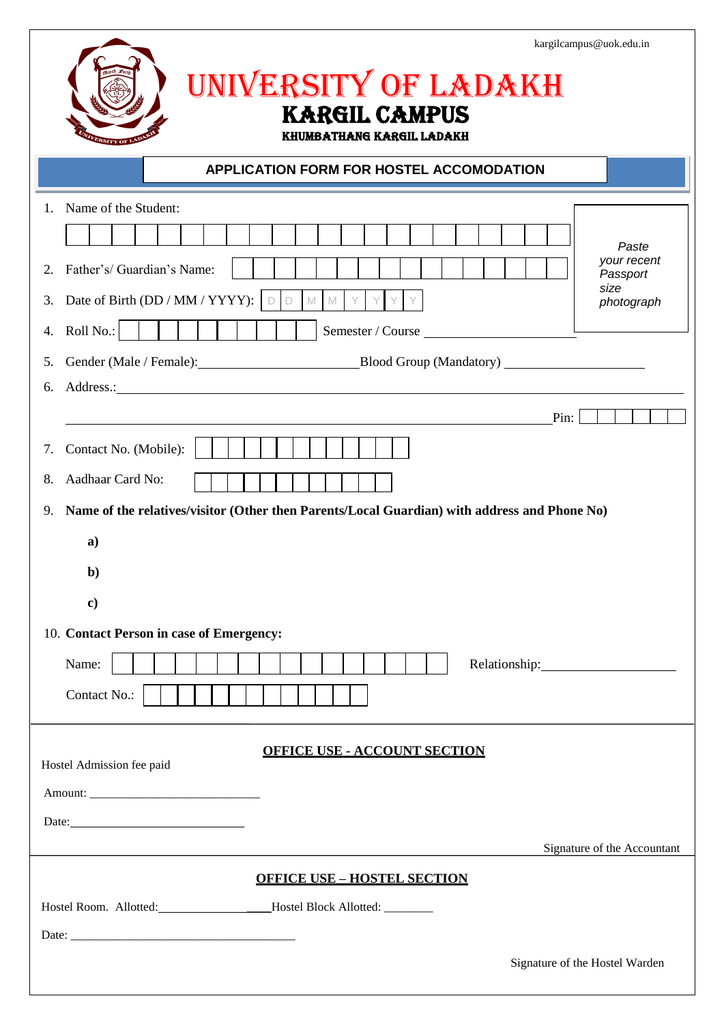|                                                                                                                                                             | kargilcampus@uok.edu.in                                |
|-------------------------------------------------------------------------------------------------------------------------------------------------------------|--------------------------------------------------------|
| UNIVERSITY OF LADAKH                                                                                                                                        |                                                        |
| <b>KARGIL CAMPUS</b><br><b>KHUMBATHANG KARGIL LADAKH</b>                                                                                                    |                                                        |
| APPLICATION FORM FOR HOSTEL ACCOMODATION                                                                                                                    |                                                        |
| Name of the Student:<br>$\mathbf{1}$ .<br>Father's/ Guardian's Name:<br>2.<br>Date of Birth (DD / MM / YYYY): $\Box$<br>M M Y<br>3.                         | Paste<br>your recent<br>Passport<br>size<br>photograph |
| Roll No.:<br>Semester / Course<br>4.<br>Gender (Male / Female): Blood Group (Mandatory) _________________________________<br>5.                             |                                                        |
| 6.<br>Pin:                                                                                                                                                  |                                                        |
| Contact No. (Mobile):<br>7.<br>Aadhaar Card No:<br>8.<br>Name of the relatives/visitor (Other then Parents/Local Guardian) with address and Phone No)<br>9. |                                                        |
| a)<br>$\mathbf{b}$                                                                                                                                          |                                                        |
| $\bf c)$<br>10. Contact Person in case of Emergency:<br>Name:<br>Contact No.:                                                                               |                                                        |
| <b>OFFICE USE - ACCOUNT SECTION</b><br>Hostel Admission fee paid                                                                                            |                                                        |
| Date:                                                                                                                                                       |                                                        |
|                                                                                                                                                             | Signature of the Accountant                            |
| <b>OFFICE USE - HOSTEL SECTION</b><br>Hostel Room. Allotted: __________________Hostel Block Allotted: ________                                              |                                                        |
|                                                                                                                                                             | Signature of the Hostel Warden                         |